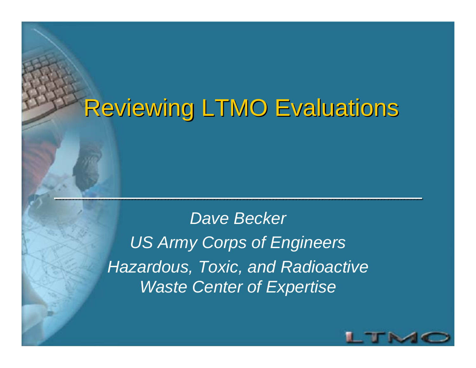## Reviewing LTMO Evaluations

*Dave Becker US Army Corps of Engineers Hazardous, Toxic, and Radioactive Waste Center of Expertise*

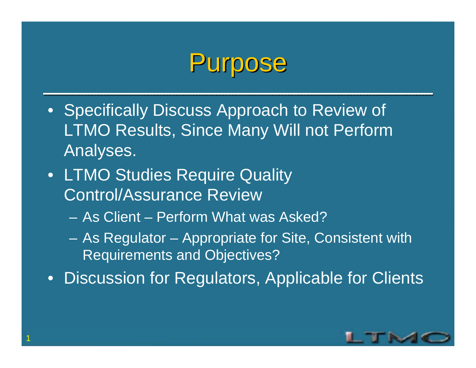## Purpose

- Specifically Discuss Approach to Review of LTMO Results, Since Many Will not Perform Analyses.
- LTMO Studies Require Quality Control/Assurance Review
	- As Client Perform What was Asked?
	- As Regulator Appropriate for Site, Consistent with Requirements and Objectives?

• Discussion for Regulators, Applicable for Clients

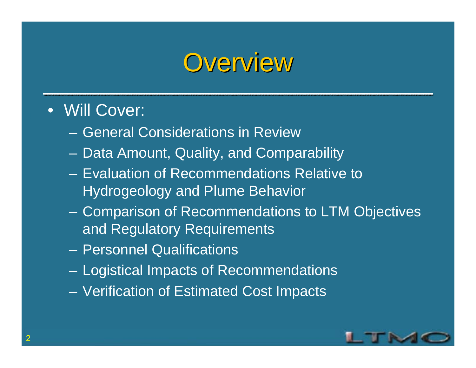## **Overview**

- Will Cover:
	- General Considerations in Review
	- $\mathcal{L}_{\mathcal{A}}$ Data Amount, Quality, and Comparability
	- Evaluation of Recommendations Relative to Hydrogeology and Plume Behavior
	- Comparison of Recommendations to LTM Objectives and Regulatory Requirements
	- Personnel Qualifications
	- Logistical Impacts of Recommendations
	- Verification of Estimated Cost Impacts

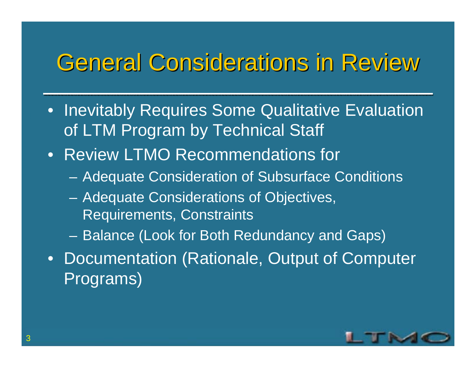### General Considerations in Review

- Inevitably Requires Some Qualitative Evaluation of LTM Program by Technical Staff
- Review LTMO Recommendations for
	- Adequate Consideration of Subsurface Conditions
	- Adequate Considerations of Objectives, Requirements, Constraints
	- $\mathcal{L}_{\mathcal{A}}$ Balance (Look for Both Redundancy and Gaps)
- Documentation (Rationale, Output of Computer Programs)

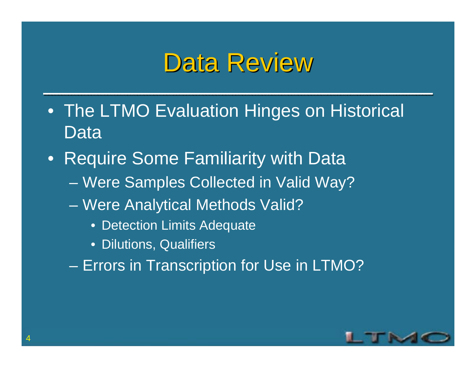## Data Review

- The LTMO Evaluation Hinges on Historical Data
- • Require Some Familiarity with Data
	- Were Samples Collected in Valid Way?
	- Were Analytical Methods Valid?
		- Detection Limits Adequate
		- Dilutions, Qualifiers
	- Errors in Transcription for Use in LTMO?

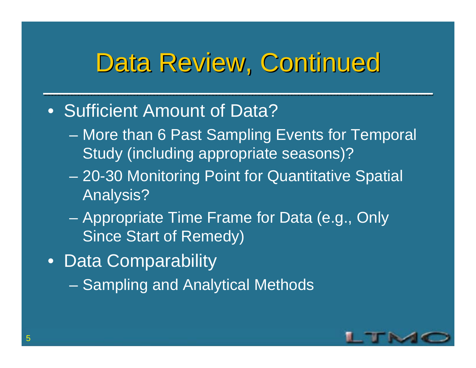## Data Review, Continued

- Sufficient Amount of Data?
	- More than 6 Past Sampling Events for Temporal Study (including appropriate seasons)?
	- 20-30 Monitoring Point for Quantitative Spatial Analysis?
	- Appropriate Time Frame for Data (e.g., Only Since Start of Remedy)
- Data Comparability
	- Sampling and Analytical Methods

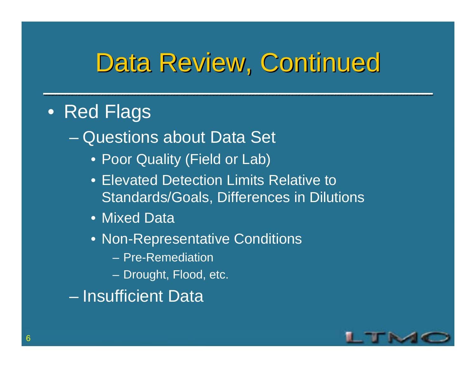## Data Review, Continued

#### • Red Flags

Questions about Data Set

- Poor Quality (Field or Lab)
- Elevated Detection Limits Relative to Standards/Goals, Differences in Dilutions
- Mixed Data
- Non-Representative Conditions
	- Pre-Remediation
	- Drought, Flood, etc.

– Insufficient Data

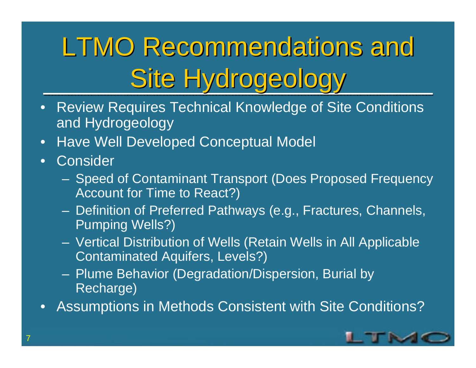# LTMO Recommendations and Site Hydrogeology

- $\bullet$  Review Requires Technical Knowledge of Site Conditions and Hydrogeology
- $\bullet$ Have Well Developed Conceptual Model
- $\bullet$ **Consider** 
	- Speed of Contaminant Transport (Does Proposed Frequency Account for Time to React?)
	- Definition of Preferred Pathways (e.g., Fractures, Channels, Pumping Wells?)
	- Vertical Distribution of Wells (Retain Wells in All Applicable Contaminated Aquifers, Levels?)
	- Plume Behavior (Degradation/Dispersion, Burial by Recharge)
- $\bullet$ Assumptions in Methods Consistent with Site Conditions?

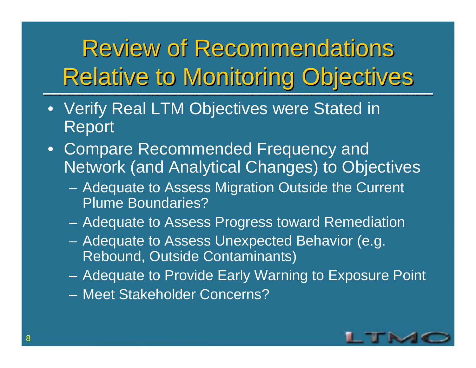Review of Recommendations Relative to Monitoring Objectives

- $\bullet$  Verify Real LTM Objectives were Stated in Report
- Compare Recommended Frequency and Network (and Analytical Changes) to Objectives
	- Adequate to Assess Migration Outside the Current Plume Boundaries?
	- –Adequate to Assess Progress toward Remediation
	- Adequate to Assess Unexpected Behavior (e.g. Rebound, Outside Contaminants)
	- Adequate to Provide Early Warning to Exposure Point
	- Meet Stakeholder Concerns?

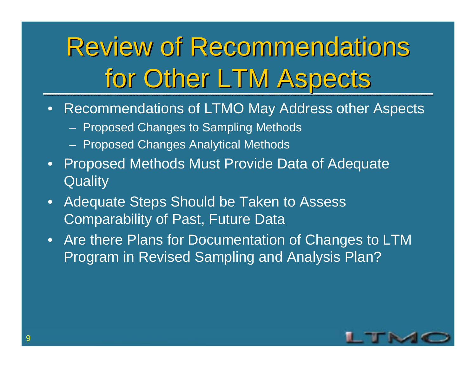# Review of Recommendations for Other LTM Aspects

- • Recommendations of LTMO May Address other Aspects
	- Proposed Changes to Sampling Methods
	- Proposed Changes Analytical Methods
- $\bullet$ **Proposed Methods Must Provide Data of Adequate Quality**
- • Adequate Steps Should be Taken to Assess Comparability of Past, Future Data
- Are there Plans for Documentation of Changes to LTM Program in Revised Sampling and Analysis Plan?

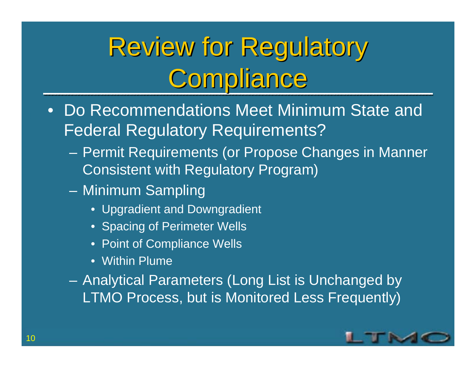# Review for Regulatory Compliance

- $\bullet$  Do Recommendations Meet Minimum State and Federal Regulatory Requirements?
	- Permit Requirements (or Propose Changes in Manner Consistent with Regulatory Program)
	- – Minimum Sampling
		- Upgradient and Downgradient
		- Spacing of Perimeter Wells
		- Point of Compliance Wells
		- Within Plume

 Analytical Parameters (Long List is Unchanged by LTMO Process, but is Monitored Less Frequently)

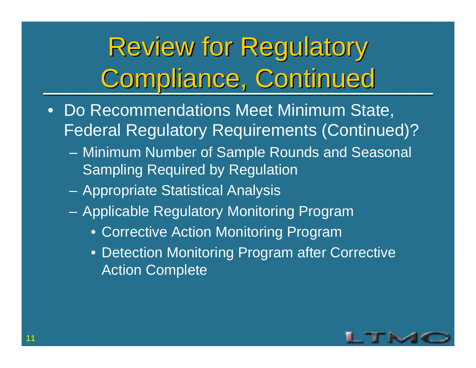# Review for Regulatory Compliance, Continued

- • Do Recommendations Meet Minimum State, Federal Regulatory Requirements (Continued)?
	- Minimum Number of Sample Rounds and Seasonal Sampling Required by Regulation
	- –Appropriate Statistical Analysis
	- – Applicable Regulatory Monitoring Program
		- Corrective Action Monitoring Program
		- Detection Monitoring Program after Corrective Action Complete

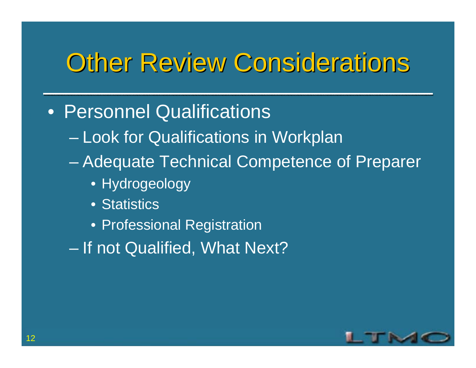## **Other Review Considerations**

- Personnel Qualifications
	- Look for Qualifications in Workplan
	- Adequate Technical Competence of Preparer
		- Hydrogeology
		- Statistics
		- Professional Registration
	- If not Qualified, What Next?

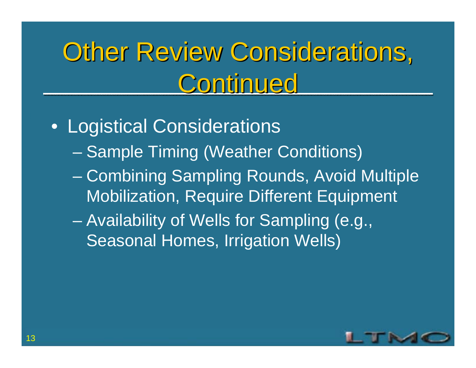## Other Review Considerations, Continued

- Logistical Considerations
	- Sample Timing (Weather Conditions)
	- Combining Sampling Rounds, Avoid Multiple Mobilization, Require Different Equipment
	- Availability of Wells for Sampling (e.g., Seasonal Homes, Irrigation Wells)

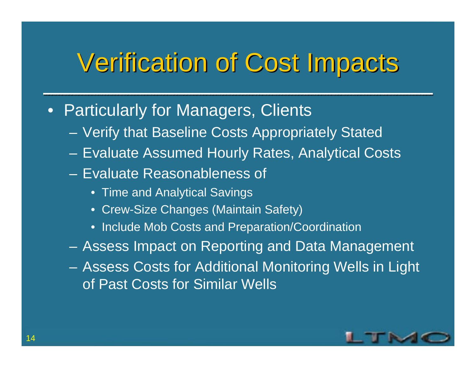## Verification of Cost Impacts Verification of Cost Impacts

- Particularly for Managers, Clients
	- $\mathcal{L}_{\mathcal{A}}$ Verify that Baseline Costs Appropriately Stated
	- $\mathcal{L}_{\mathcal{A}}$ Evaluate Assumed Hourly Rates, Analytical Costs
	- Evaluate Reasonableness of
		- Time and Analytical Savings
		- Crew-Size Changes (Maintain Safety)
		- Include Mob Costs and Preparation/Coordination
	- $\mathcal{L}_{\mathcal{A}}$ Assess Impact on Reporting and Data Management
	- $\mathcal{L}_{\mathcal{A}}$  Assess Costs for Additional Monitoring Wells in Light of Past Costs for Similar Wells